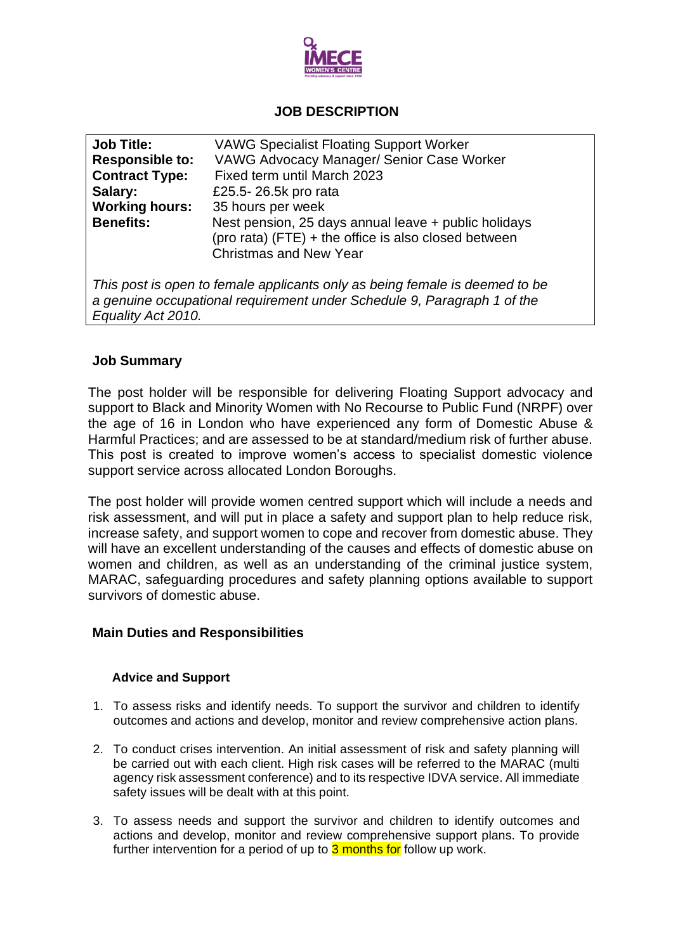

# **JOB DESCRIPTION**

| <b>Job Title:</b>                                                                                                                                                            | <b>VAWG Specialist Floating Support Worker</b>                                                                                                |  |  |  |
|------------------------------------------------------------------------------------------------------------------------------------------------------------------------------|-----------------------------------------------------------------------------------------------------------------------------------------------|--|--|--|
| <b>Responsible to:</b>                                                                                                                                                       | <b>VAWG Advocacy Manager/ Senior Case Worker</b>                                                                                              |  |  |  |
| <b>Contract Type:</b>                                                                                                                                                        | Fixed term until March 2023                                                                                                                   |  |  |  |
| Salary:                                                                                                                                                                      | £25.5-26.5k pro rata                                                                                                                          |  |  |  |
| <b>Working hours:</b>                                                                                                                                                        | 35 hours per week                                                                                                                             |  |  |  |
| <b>Benefits:</b>                                                                                                                                                             | Nest pension, 25 days annual leave + public holidays<br>(pro rata) (FTE) + the office is also closed between<br><b>Christmas and New Year</b> |  |  |  |
| This post is open to female applicants only as being female is deemed to be<br>a genuine occupational requirement under Schedule 9, Paragraph 1 of the<br>Equality Act 2010. |                                                                                                                                               |  |  |  |

# **Job Summary**

The post holder will be responsible for delivering Floating Support advocacy and support to Black and Minority Women with No Recourse to Public Fund (NRPF) over the age of 16 in London who have experienced any form of Domestic Abuse & Harmful Practices; and are assessed to be at standard/medium risk of further abuse. This post is created to improve women's access to specialist domestic violence support service across allocated London Boroughs.

The post holder will provide women centred support which will include a needs and risk assessment, and will put in place a safety and support plan to help reduce risk, increase safety, and support women to cope and recover from domestic abuse. They will have an excellent understanding of the causes and effects of domestic abuse on women and children, as well as an understanding of the criminal justice system, MARAC, safeguarding procedures and safety planning options available to support survivors of domestic abuse.

# **Main Duties and Responsibilities**

# **Advice and Support**

- 1. To assess risks and identify needs. To support the survivor and children to identify outcomes and actions and develop, monitor and review comprehensive action plans.
- 2. To conduct crises intervention. An initial assessment of risk and safety planning will be carried out with each client. High risk cases will be referred to the MARAC (multi agency risk assessment conference) and to its respective IDVA service. All immediate safety issues will be dealt with at this point.
- 3. To assess needs and support the survivor and children to identify outcomes and actions and develop, monitor and review comprehensive support plans. To provide further intervention for a period of up to 3 months for follow up work.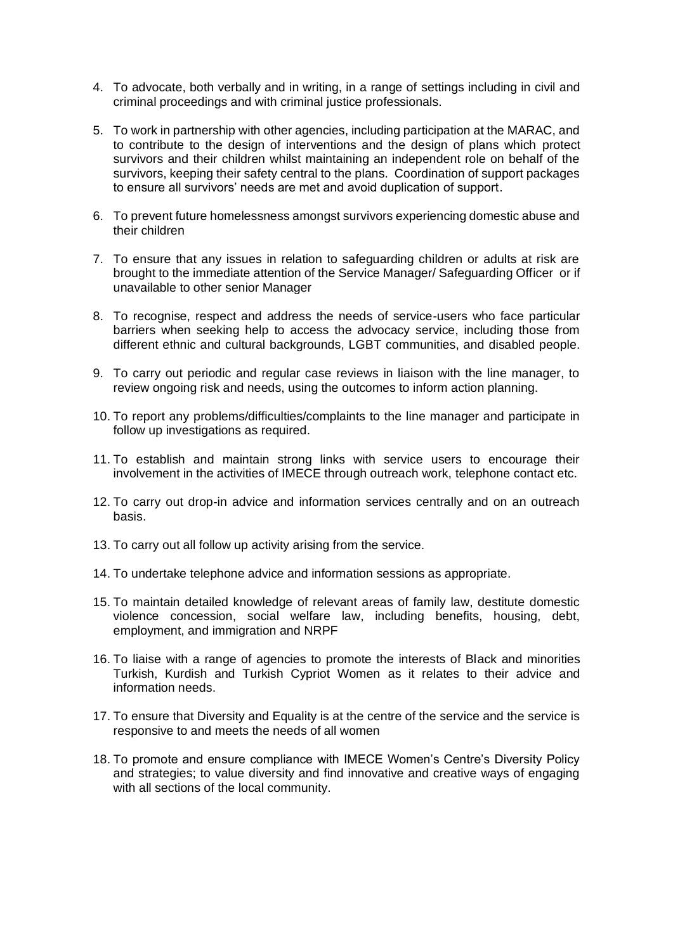- 4. To advocate, both verbally and in writing, in a range of settings including in civil and criminal proceedings and with criminal justice professionals.
- 5. To work in partnership with other agencies, including participation at the MARAC, and to contribute to the design of interventions and the design of plans which protect survivors and their children whilst maintaining an independent role on behalf of the survivors, keeping their safety central to the plans. Coordination of support packages to ensure all survivors' needs are met and avoid duplication of support.
- 6. To prevent future homelessness amongst survivors experiencing domestic abuse and their children
- 7. To ensure that any issues in relation to safeguarding children or adults at risk are brought to the immediate attention of the Service Manager/ Safeguarding Officer or if unavailable to other senior Manager
- 8. To recognise, respect and address the needs of service-users who face particular barriers when seeking help to access the advocacy service, including those from different ethnic and cultural backgrounds, LGBT communities, and disabled people.
- 9. To carry out periodic and regular case reviews in liaison with the line manager, to review ongoing risk and needs, using the outcomes to inform action planning.
- 10. To report any problems/difficulties/complaints to the line manager and participate in follow up investigations as required.
- 11. To establish and maintain strong links with service users to encourage their involvement in the activities of IMECE through outreach work, telephone contact etc.
- 12. To carry out drop-in advice and information services centrally and on an outreach basis.
- 13. To carry out all follow up activity arising from the service.
- 14. To undertake telephone advice and information sessions as appropriate.
- 15. To maintain detailed knowledge of relevant areas of family law, destitute domestic violence concession, social welfare law, including benefits, housing, debt, employment, and immigration and NRPF
- 16. To liaise with a range of agencies to promote the interests of Black and minorities Turkish, Kurdish and Turkish Cypriot Women as it relates to their advice and information needs.
- 17. To ensure that Diversity and Equality is at the centre of the service and the service is responsive to and meets the needs of all women
- 18. To promote and ensure compliance with IMECE Women's Centre's Diversity Policy and strategies; to value diversity and find innovative and creative ways of engaging with all sections of the local community.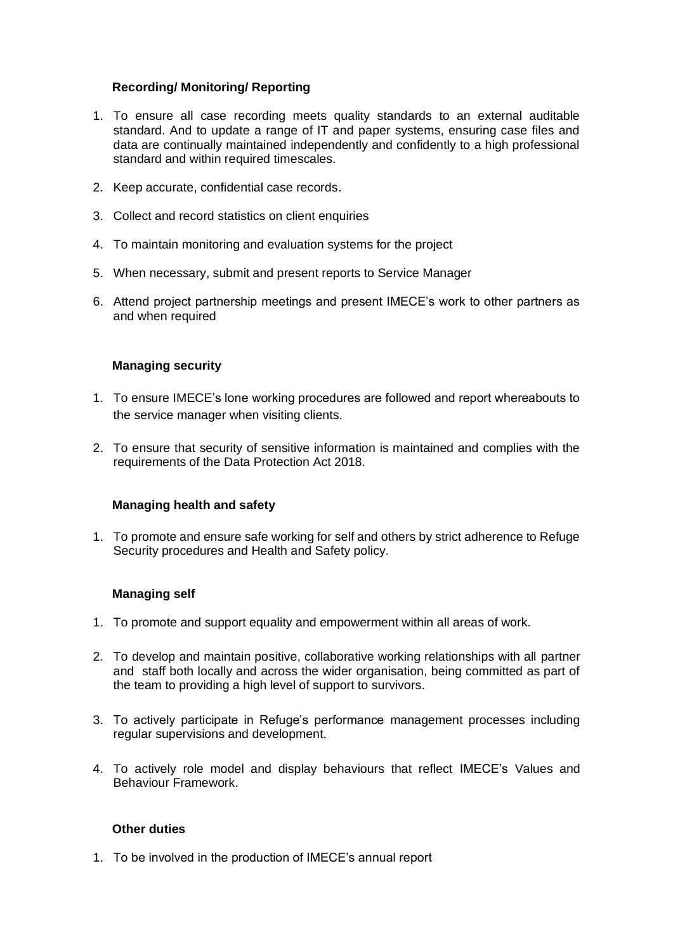# **Recording/ Monitoring/ Reporting**

- 1. To ensure all case recording meets quality standards to an external auditable standard. And to update a range of IT and paper systems, ensuring case files and data are continually maintained independently and confidently to a high professional standard and within required timescales.
- 2. Keep accurate, confidential case records.
- 3. Collect and record statistics on client enquiries
- 4. To maintain monitoring and evaluation systems for the project
- 5. When necessary, submit and present reports to Service Manager
- 6. Attend project partnership meetings and present IMECE's work to other partners as and when required

#### **Managing security**

- 1. To ensure IMECE's lone working procedures are followed and report whereabouts to the service manager when visiting clients.
- 2. To ensure that security of sensitive information is maintained and complies with the requirements of the Data Protection Act 2018.

#### **Managing health and safety**

1. To promote and ensure safe working for self and others by strict adherence to Refuge Security procedures and Health and Safety policy.

# **Managing self**

- 1. To promote and support equality and empowerment within all areas of work.
- 2. To develop and maintain positive, collaborative working relationships with all partner and staff both locally and across the wider organisation, being committed as part of the team to providing a high level of support to survivors.
- 3. To actively participate in Refuge's performance management processes including regular supervisions and development.
- 4. To actively role model and display behaviours that reflect IMECE's Values and Behaviour Framework.

#### **Other duties**

1. To be involved in the production of IMECE's annual report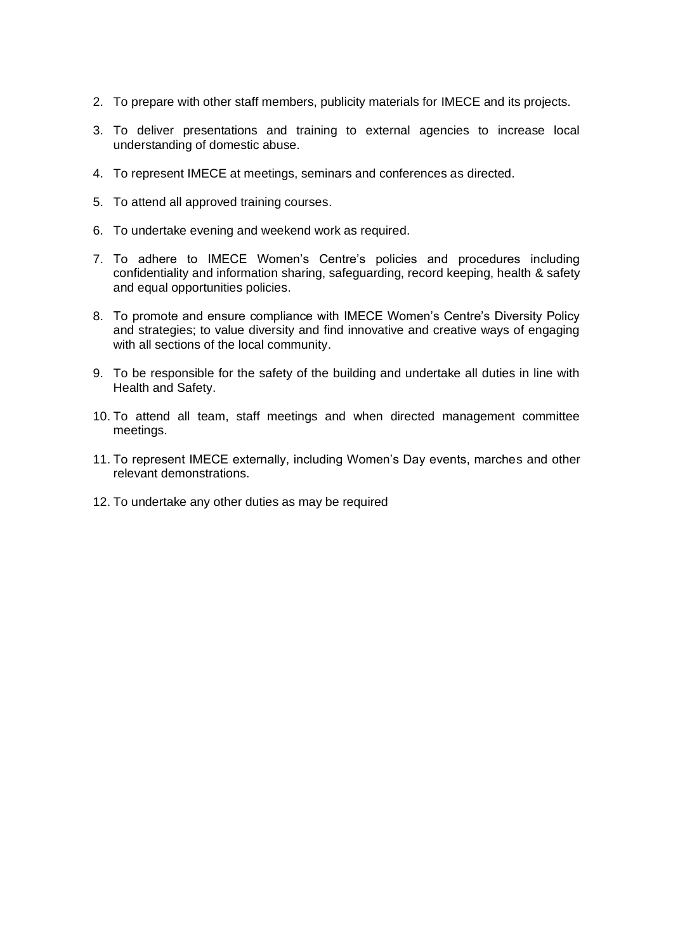- 2. To prepare with other staff members, publicity materials for IMECE and its projects.
- 3. To deliver presentations and training to external agencies to increase local understanding of domestic abuse.
- 4. To represent IMECE at meetings, seminars and conferences as directed.
- 5. To attend all approved training courses.
- 6. To undertake evening and weekend work as required.
- 7. To adhere to IMECE Women's Centre's policies and procedures including confidentiality and information sharing, safeguarding, record keeping, health & safety and equal opportunities policies.
- 8. To promote and ensure compliance with IMECE Women's Centre's Diversity Policy and strategies; to value diversity and find innovative and creative ways of engaging with all sections of the local community.
- 9. To be responsible for the safety of the building and undertake all duties in line with Health and Safety.
- 10. To attend all team, staff meetings and when directed management committee meetings.
- 11. To represent IMECE externally, including Women's Day events, marches and other relevant demonstrations.
- 12. To undertake any other duties as may be required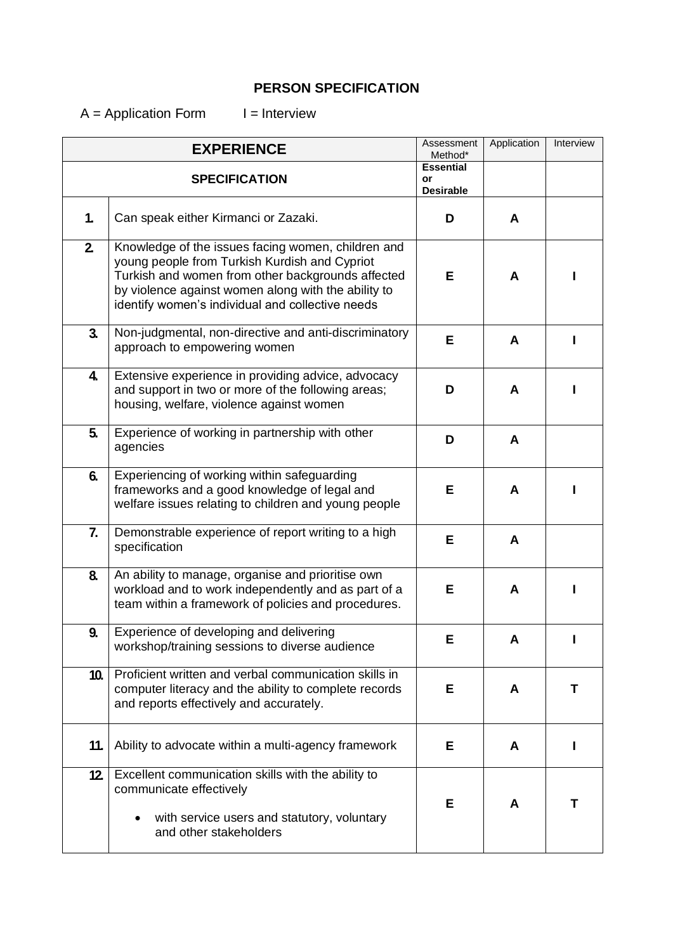# **PERSON SPECIFICATION**

 $A =$  Application Form  $I =$  Interview

| <b>EXPERIENCE</b>    |                                                                                                                                                                                                                                                                     | Assessment<br>Method*                      | Application | Interview |
|----------------------|---------------------------------------------------------------------------------------------------------------------------------------------------------------------------------------------------------------------------------------------------------------------|--------------------------------------------|-------------|-----------|
| <b>SPECIFICATION</b> |                                                                                                                                                                                                                                                                     | <b>Essential</b><br>or<br><b>Desirable</b> |             |           |
| $\mathbf{1}$         | Can speak either Kirmanci or Zazaki.                                                                                                                                                                                                                                | D                                          | A           |           |
| $2\overline{ }$      | Knowledge of the issues facing women, children and<br>young people from Turkish Kurdish and Cypriot<br>Turkish and women from other backgrounds affected<br>by violence against women along with the ability to<br>identify women's individual and collective needs | Е                                          | A           |           |
| 3 <sub>1</sub>       | Non-judgmental, non-directive and anti-discriminatory<br>approach to empowering women                                                                                                                                                                               | Е                                          | A           |           |
| 4.                   | Extensive experience in providing advice, advocacy<br>and support in two or more of the following areas;<br>housing, welfare, violence against women                                                                                                                | D                                          | A           |           |
| 5.                   | Experience of working in partnership with other<br>agencies                                                                                                                                                                                                         | D                                          | A           |           |
| 6.                   | Experiencing of working within safeguarding<br>frameworks and a good knowledge of legal and<br>welfare issues relating to children and young people                                                                                                                 | Е                                          | A           |           |
| 7.                   | Demonstrable experience of report writing to a high<br>specification                                                                                                                                                                                                | Е                                          | A           |           |
| 8.                   | An ability to manage, organise and prioritise own<br>workload and to work independently and as part of a<br>team within a framework of policies and procedures.                                                                                                     | Е                                          | A           |           |
| 9.                   | Experience of developing and delivering<br>workshop/training sessions to diverse audience                                                                                                                                                                           | E                                          |             |           |
| 10.                  | Proficient written and verbal communication skills in<br>computer literacy and the ability to complete records<br>and reports effectively and accurately.                                                                                                           | Е                                          | A           | т         |
| 11.                  | Ability to advocate within a multi-agency framework                                                                                                                                                                                                                 | Е                                          | A           |           |
| 12.                  | Excellent communication skills with the ability to<br>communicate effectively<br>with service users and statutory, voluntary<br>and other stakeholders                                                                                                              | Е                                          | A           | т         |